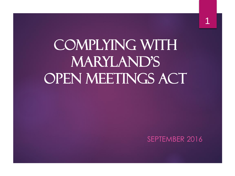# Complying with MARYLAND'S OPEN MEETINGS ACT

#### SEPTEMBER 2016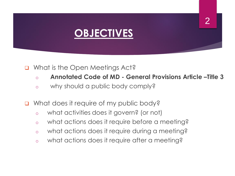## **OBJECTIVES**

#### ■ What is the Open Meetings Act?

- o **Annotated Code of MD - General Provisions Article –Title 3**
- o why should a public body comply?
- What does it require of my public body?
	- o what activities does it govern? (or not)
	- o what actions does it require before a meeting?
	- o what actions does it require during a meeting?
	- o what actions does it require after a meeting?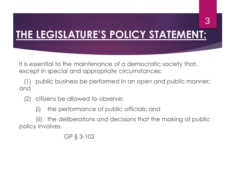## **THE LEGISLATURE'S POLICY STATEMENT:**

It is essential to the maintenance of a democratic society that, except in special and appropriate circumstances:

(1) public business be performed in an open and public manner; and

- (2) citizens be allowed to observe:
	- (i) the performance of public officials; and

(ii) the deliberations and decisions that the making of public policy involves.

GP § 3-102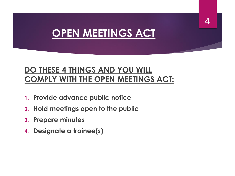## **OPEN MEETINGS ACT**

### **DO THESE 4 THINGS AND YOU WILL COMPLY WITH THE OPEN MEETINGS ACT:**

- **1. Provide advance public notice**
- **2. Hold meetings open to the public**
- **3. Prepare minutes**
- **4. Designate a trainee(s)**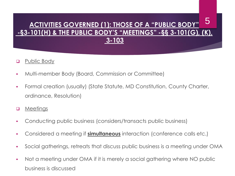#### **ACTIVITIES GOVERNED (1): THOSE OF A "PUBLIC BODY" -§3-101(H) & THE PUBLIC BODY'S "MEETINGS" -§§ 3-101(G), (K), 3-103**  5

#### **D** Public Body

- Multi-member Body (Board, Commission or Committee)
- Formal creation (usually) (State Statute, MD Constitution, County Charter, ordinance, Resolution)

#### **D** Meetings

- Conducting public business (considers/transacts public business)
- Considered a meeting if **simultaneous** interaction (conference calls etc.)
- Social gatherings, retreats that discuss public business is a meeting under OMA
- Not a meeting under OMA if it is merely a social gathering where NO public business is discussed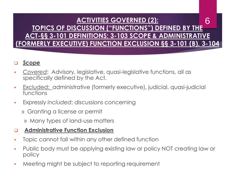#### **ACTIVITIES GOVERNED (2): TOPICS OF DISCUSSION ("FUNCTIONS") DEFINED BY THE ACT-§§ 3-101 DEFINITIONS; 3-103 SCOPE & ADMINISTRATIVE (FORMERLY EXECUTIVE) FUNCTION EXCLUSION §§ 3-101 (B), 3-104** 6

#### *Scope*

- *Covered*: Advisory, legislative, quasi-legislative functions, all as specifically defined by the Act.
- Excluded: administrative (formerly executive), judicial, quasi-judicial functions
- Expressly *included*: discussions concerning
	- » Granting a license or permit
		- » Many types of land-use matters

#### **Administrative Function Exclusion**

- Topic cannot fall within any other defined function
- Public body must be applying existing law or policy NOT creating law or policy
- **Meeting might be subject to reporting requirement**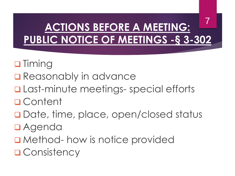### **ACTIONS BEFORE A MEETING: PUBLIC NOTICE OF MEETINGS -§ 3-302** 7

- **O** Timing
- **□ Reasonably in advance**
- **Q** Last-minute meetings- special efforts
- Content
- □ Date, time, place, open/closed status
- Agenda
- Method- how is notice provided
- **Q** Consistency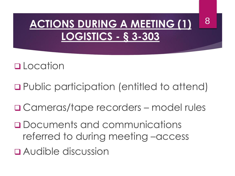## **ACTIONS DURING A MEETING (1) LOGISTICS - § 3-303**

8

### **Q**Location

- Public participation (entitled to attend)
- □ Cameras/tape recorders model rules
- Documents and communications referred to during meeting –access
- Audible discussion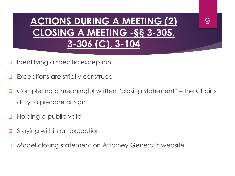## **ACTIONS DURING A MEETING (2) CLOSING A MEETING -§§ 3-305, 3-306 (C), 3-104**

9

- Identifying a specific exception
- Exceptions are strictly construed
- Completing a meaningful written "closing statement" the Chair's duty to prepare or sign
- Holding a public vote
- Staying within an exception
- Model closing statement on Attorney General's website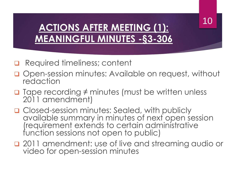### 10

### **ACTIONS AFTER MEETING (1): MEANINGFUL MINUTES -§3-306**

- Required timeliness; content
- **Q** Open-session minutes: Available on request, without redaction
- $\Box$  Tape recording  $\neq$  minutes (must be written unless 2011 amendment)
- □ Closed-session minutes: Sealed, with publicly available summary in minutes of next open session (requirement extends to certain administrative function sessions not open to public)
- **Q** 2011 amendment: use of live and streaming audio or video for open-session minutes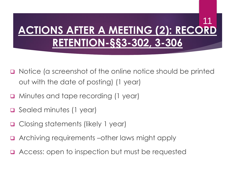### **ACTIONS AFTER A MEETING (2): RECORD RETENTION-§§3-302, 3-306** 11

- Notice (a screenshot of the online notice should be printed out with the date of posting) (1 year)
- **Q** Minutes and tape recording (1 year)
- □ Sealed minutes (1 year)
- Closing statements (likely 1 year)
- Archiving requirements –other laws might apply
- **□** Access: open to inspection but must be requested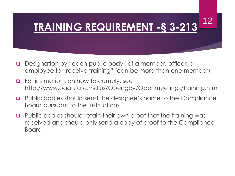#### **TRAINING REQUIREMENT -§ 3-213** 12

- Designation by "each public body" of a member, officer, or employee to "receive training" (can be more than one member)
- $\Box$  For instructions on how to comply, see http://www.oag.state.md.us/Opengov/Openmeetings/training.htm
- Public bodies should send the designee's name to the Compliance Board pursuant to the instructions
- Public bodies should retain their own proof that the training was received and should only send a copy of proof to the Compliance Board